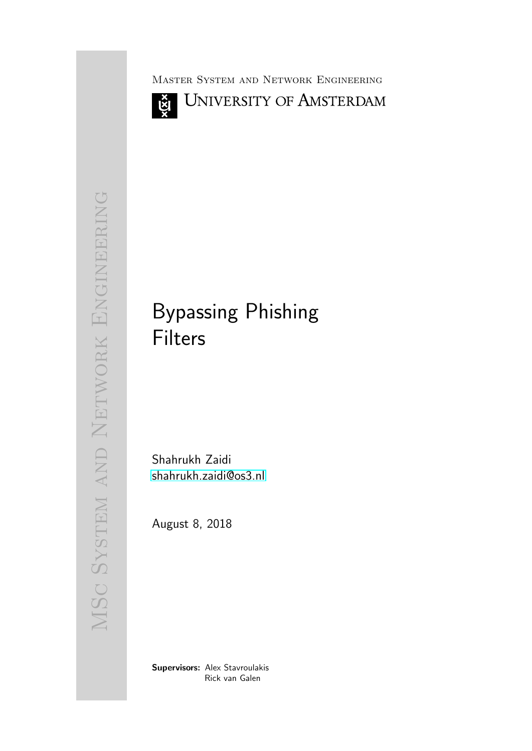ğ

Master System and Network Engineering



# MSC SYSTEM AND NETWORK ENGINEERING MSc System and Network Engineering

# Bypassing Phishing Filters

Shahrukh Zaidi [shahrukh.zaidi@os3.nl](mailto:shahrukh.zaidi@os3.nl)

August 8, 2018

Supervisors: Alex Stavroulakis Rick van Galen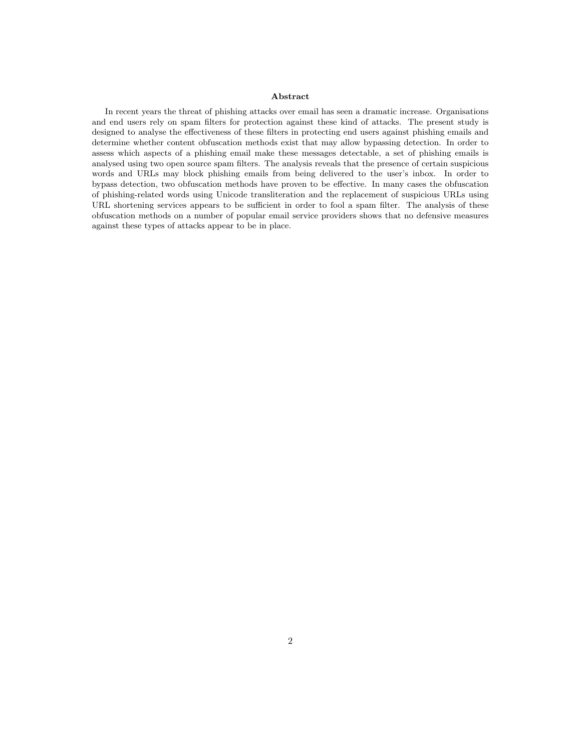### Abstract

In recent years the threat of phishing attacks over email has seen a dramatic increase. Organisations and end users rely on spam filters for protection against these kind of attacks. The present study is designed to analyse the effectiveness of these filters in protecting end users against phishing emails and determine whether content obfuscation methods exist that may allow bypassing detection. In order to assess which aspects of a phishing email make these messages detectable, a set of phishing emails is analysed using two open source spam filters. The analysis reveals that the presence of certain suspicious words and URLs may block phishing emails from being delivered to the user's inbox. In order to bypass detection, two obfuscation methods have proven to be effective. In many cases the obfuscation of phishing-related words using Unicode transliteration and the replacement of suspicious URLs using URL shortening services appears to be sufficient in order to fool a spam filter. The analysis of these obfuscation methods on a number of popular email service providers shows that no defensive measures against these types of attacks appear to be in place.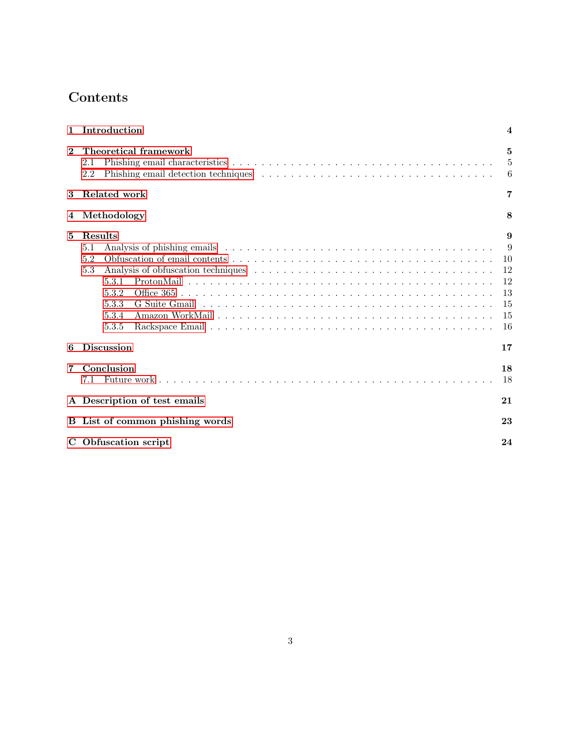# Contents

| $\mathbf{1}$ | Introduction                                                              | 4                                                |
|--------------|---------------------------------------------------------------------------|--------------------------------------------------|
| $\mathbf{2}$ | Theoretical framework<br>$2.1\,$<br>2.2                                   | 5<br>5<br>6                                      |
| 3            | Related work                                                              | 7                                                |
| 4            | Methodology                                                               | 8                                                |
| 5            | Results<br>5.1<br>5.2<br>5.3<br>5.3.1<br>5.3.2<br>5.3.3<br>5.3.4<br>5.3.5 | 9<br>9<br>10<br>12<br>12<br>13<br>15<br>15<br>16 |
| 6            | <b>Discussion</b>                                                         | 17                                               |
| 7            | Conclusion<br>7.1                                                         | 18<br>18                                         |
|              | A Description of test emails                                              | 21                                               |
|              | <b>B</b> List of common phishing words                                    | 23                                               |
|              | C Obfuscation script                                                      | 24                                               |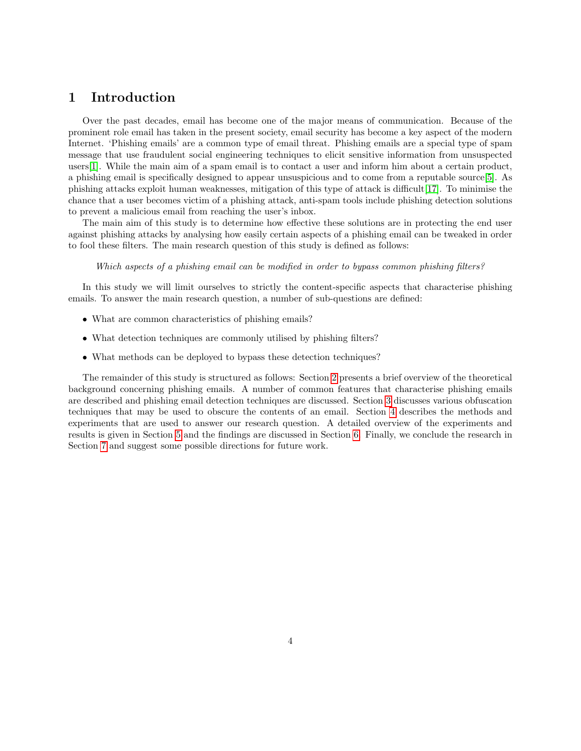### <span id="page-3-0"></span>1 Introduction

Over the past decades, email has become one of the major means of communication. Because of the prominent role email has taken in the present society, email security has become a key aspect of the modern Internet. 'Phishing emails' are a common type of email threat. Phishing emails are a special type of spam message that use fraudulent social engineering techniques to elicit sensitive information from unsuspected users[\[1\]](#page-18-0). While the main aim of a spam email is to contact a user and inform him about a certain product, a phishing email is specifically designed to appear unsuspicious and to come from a reputable source[\[5\]](#page-18-1). As phishing attacks exploit human weaknesses, mitigation of this type of attack is difficult[\[17\]](#page-19-0). To minimise the chance that a user becomes victim of a phishing attack, anti-spam tools include phishing detection solutions to prevent a malicious email from reaching the user's inbox.

The main aim of this study is to determine how effective these solutions are in protecting the end user against phishing attacks by analysing how easily certain aspects of a phishing email can be tweaked in order to fool these filters. The main research question of this study is defined as follows:

### Which aspects of a phishing email can be modified in order to bypass common phishing filters?

In this study we will limit ourselves to strictly the content-specific aspects that characterise phishing emails. To answer the main research question, a number of sub-questions are defined:

- What are common characteristics of phishing emails?
- What detection techniques are commonly utilised by phishing filters?
- What methods can be deployed to bypass these detection techniques?

<span id="page-3-1"></span>The remainder of this study is structured as follows: Section [2](#page-3-1) presents a brief overview of the theoretical background concerning phishing emails. A number of common features that characterise phishing emails are described and phishing email detection techniques are discussed. Section [3](#page-5-1) discusses various obfuscation techniques that may be used to obscure the contents of an email. Section [4](#page-6-0) describes the methods and experiments that are used to answer our research question. A detailed overview of the experiments and results is given in Section [5](#page-7-0) and the findings are discussed in Section [6.](#page-15-0) Finally, we conclude the research in Section [7](#page-16-0) and suggest some possible directions for future work.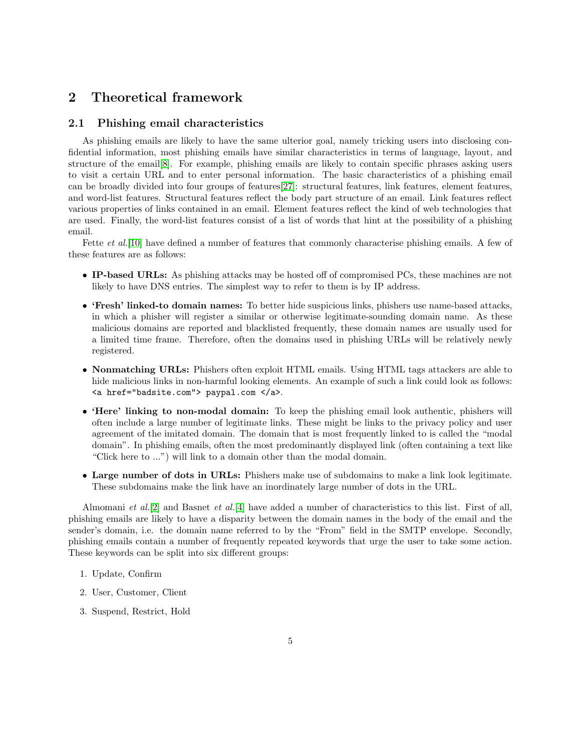### 2 Theoretical framework

### <span id="page-4-0"></span>2.1 Phishing email characteristics

As phishing emails are likely to have the same ulterior goal, namely tricking users into disclosing confidential information, most phishing emails have similar characteristics in terms of language, layout, and structure of the email[\[8\]](#page-18-2). For example, phishing emails are likely to contain specific phrases asking users to visit a certain URL and to enter personal information. The basic characteristics of a phishing email can be broadly divided into four groups of features[\[27\]](#page-19-1): structural features, link features, element features, and word-list features. Structural features reflect the body part structure of an email. Link features reflect various properties of links contained in an email. Element features reflect the kind of web technologies that are used. Finally, the word-list features consist of a list of words that hint at the possibility of a phishing email.

Fette *et al.*[\[10\]](#page-18-3) have defined a number of features that commonly characterise phishing emails. A few of these features are as follows:

- IP-based URLs: As phishing attacks may be hosted off of compromised PCs, these machines are not likely to have DNS entries. The simplest way to refer to them is by IP address.
- 'Fresh' linked-to domain names: To better hide suspicious links, phishers use name-based attacks, in which a phisher will register a similar or otherwise legitimate-sounding domain name. As these malicious domains are reported and blacklisted frequently, these domain names are usually used for a limited time frame. Therefore, often the domains used in phishing URLs will be relatively newly registered.
- Nonmatching URLs: Phishers often exploit HTML emails. Using HTML tags attackers are able to hide malicious links in non-harmful looking elements. An example of such a link could look as follows: <a href="badsite.com"> paypal.com </a>.
- 'Here' linking to non-modal domain: To keep the phishing email look authentic, phishers will often include a large number of legitimate links. These might be links to the privacy policy and user agreement of the imitated domain. The domain that is most frequently linked to is called the "modal domain". In phishing emails, often the most predominantly displayed link (often containing a text like "Click here to ...") will link to a domain other than the modal domain.
- Large number of dots in URLs: Phishers make use of subdomains to make a link look legitimate. These subdomains make the link have an inordinately large number of dots in the URL.

Almomani et al.[\[2\]](#page-18-4) and Basnet et al.[\[4\]](#page-18-5) have added a number of characteristics to this list. First of all, phishing emails are likely to have a disparity between the domain names in the body of the email and the sender's domain, i.e. the domain name referred to by the "From" field in the SMTP envelope. Secondly, phishing emails contain a number of frequently repeated keywords that urge the user to take some action. These keywords can be split into six different groups:

- 1. Update, Confirm
- 2. User, Customer, Client
- 3. Suspend, Restrict, Hold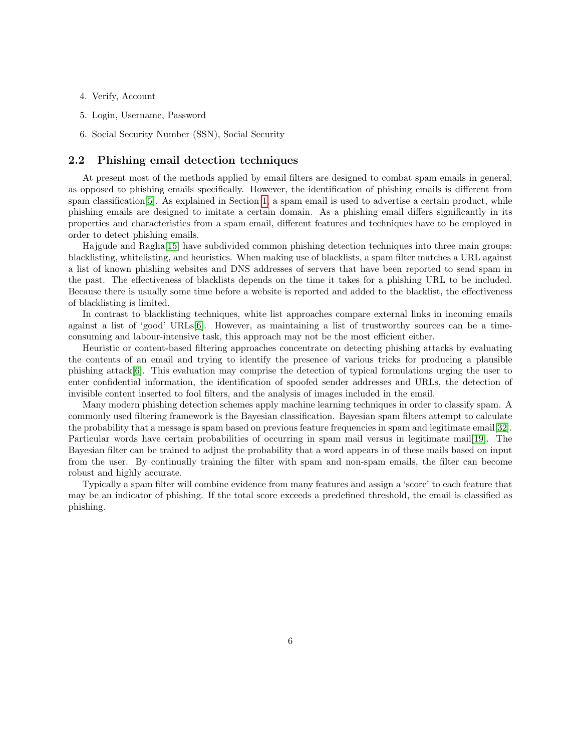- 4. Verify, Account
- 5. Login, Username, Password
- 6. Social Security Number (SSN), Social Security

### <span id="page-5-0"></span>2.2 Phishing email detection techniques

At present most of the methods applied by email filters are designed to combat spam emails in general, as opposed to phishing emails specifically. However, the identification of phishing emails is different from spam classification[\[5\]](#page-18-1). As explained in Section [1,](#page-3-0) a spam email is used to advertise a certain product, while phishing emails are designed to imitate a certain domain. As a phishing email differs significantly in its properties and characteristics from a spam email, different features and techniques have to be employed in order to detect phishing emails.

Hajgude and Ragha[\[15\]](#page-18-6) have subdivided common phishing detection techniques into three main groups: blacklisting, whitelisting, and heuristics. When making use of blacklists, a spam filter matches a URL against a list of known phishing websites and DNS addresses of servers that have been reported to send spam in the past. The effectiveness of blacklists depends on the time it takes for a phishing URL to be included. Because there is usually some time before a website is reported and added to the blacklist, the effectiveness of blacklisting is limited.

In contrast to blacklisting techniques, white list approaches compare external links in incoming emails against a list of 'good' URLs[\[6\]](#page-18-7). However, as maintaining a list of trustworthy sources can be a timeconsuming and labour-intensive task, this approach may not be the most efficient either.

Heuristic or content-based filtering approaches concentrate on detecting phishing attacks by evaluating the contents of an email and trying to identify the presence of various tricks for producing a plausible phishing attack[\[6\]](#page-18-7). This evaluation may comprise the detection of typical formulations urging the user to enter confidential information, the identification of spoofed sender addresses and URLs, the detection of invisible content inserted to fool filters, and the analysis of images included in the email.

Many modern phishing detection schemes apply machine learning techniques in order to classify spam. A commonly used filtering framework is the Bayesian classification. Bayesian spam filters attempt to calculate the probability that a message is spam based on previous feature frequencies in spam and legitimate email[\[32\]](#page-19-2). Particular words have certain probabilities of occurring in spam mail versus in legitimate mail[\[19\]](#page-19-3). The Bayesian filter can be trained to adjust the probability that a word appears in of these mails based on input from the user. By continually training the filter with spam and non-spam emails, the filter can become robust and highly accurate.

<span id="page-5-1"></span>Typically a spam filter will combine evidence from many features and assign a 'score' to each feature that may be an indicator of phishing. If the total score exceeds a predefined threshold, the email is classified as phishing.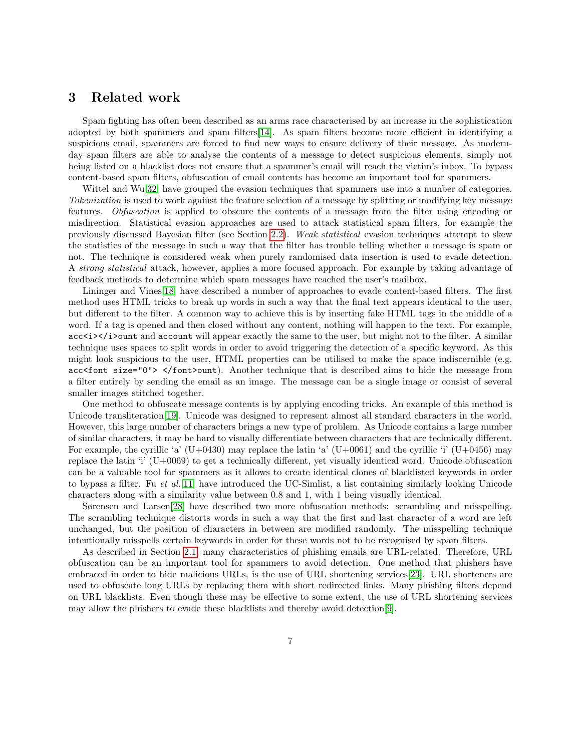### 3 Related work

Spam fighting has often been described as an arms race characterised by an increase in the sophistication adopted by both spammers and spam filters[\[14\]](#page-18-8). As spam filters become more efficient in identifying a suspicious email, spammers are forced to find new ways to ensure delivery of their message. As modernday spam filters are able to analyse the contents of a message to detect suspicious elements, simply not being listed on a blacklist does not ensure that a spammer's email will reach the victim's inbox. To bypass content-based spam filters, obfuscation of email contents has become an important tool for spammers.

Wittel and Wu<sup>[\[32\]](#page-19-2)</sup> have grouped the evasion techniques that spammers use into a number of categories. Tokenization is used to work against the feature selection of a message by splitting or modifying key message features. Obfuscation is applied to obscure the contents of a message from the filter using encoding or misdirection. Statistical evasion approaches are used to attack statistical spam filters, for example the previously discussed Bayesian filter (see Section [2.2\)](#page-5-0). Weak statistical evasion techniques attempt to skew the statistics of the message in such a way that the filter has trouble telling whether a message is spam or not. The technique is considered weak when purely randomised data insertion is used to evade detection. A strong statistical attack, however, applies a more focused approach. For example by taking advantage of feedback methods to determine which spam messages have reached the user's mailbox.

Lininger and Vines[\[18\]](#page-19-4) have described a number of approaches to evade content-based filters. The first method uses HTML tricks to break up words in such a way that the final text appears identical to the user, but different to the filter. A common way to achieve this is by inserting fake HTML tags in the middle of a word. If a tag is opened and then closed without any content, nothing will happen to the text. For example, acc $\langle i \rangle$  i  $\gamma$  and account will appear exactly the same to the user, but might not to the filter. A similar technique uses spaces to split words in order to avoid triggering the detection of a specific keyword. As this might look suspicious to the user, HTML properties can be utilised to make the space indiscernible (e.g. acc<font size="0"> </font>ount). Another technique that is described aims to hide the message from a filter entirely by sending the email as an image. The message can be a single image or consist of several smaller images stitched together.

One method to obfuscate message contents is by applying encoding tricks. An example of this method is Unicode transliteration[\[19\]](#page-19-3). Unicode was designed to represent almost all standard characters in the world. However, this large number of characters brings a new type of problem. As Unicode contains a large number of similar characters, it may be hard to visually differentiate between characters that are technically different. For example, the cyrillic 'a'  $(U+0430)$  may replace the latin 'a'  $(U+0061)$  and the cyrillic 'i'  $(U+0456)$  may replace the latin 'i' (U+0069) to get a technically different, yet visually identical word. Unicode obfuscation can be a valuable tool for spammers as it allows to create identical clones of blacklisted keywords in order to bypass a filter. Fu et al.[\[11\]](#page-18-9) have introduced the UC-Simlist, a list containing similarly looking Unicode characters along with a similarity value between 0.8 and 1, with 1 being visually identical.

Sørensen and Larsen[\[28\]](#page-19-5) have described two more obfuscation methods: scrambling and misspelling. The scrambling technique distorts words in such a way that the first and last character of a word are left unchanged, but the position of characters in between are modified randomly. The misspelling technique intentionally misspells certain keywords in order for these words not to be recognised by spam filters.

<span id="page-6-0"></span>As described in Section [2.1,](#page-4-0) many characteristics of phishing emails are URL-related. Therefore, URL obfuscation can be an important tool for spammers to avoid detection. One method that phishers have embraced in order to hide malicious URLs, is the use of URL shortening services[\[23\]](#page-19-6). URL shorteners are used to obfuscate long URLs by replacing them with short redirected links. Many phishing filters depend on URL blacklists. Even though these may be effective to some extent, the use of URL shortening services may allow the phishers to evade these blacklists and thereby avoid detection[\[9\]](#page-18-10).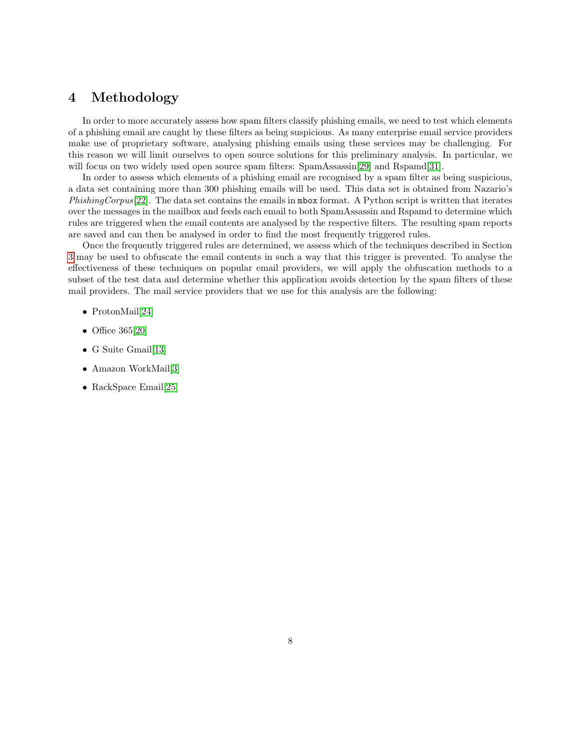### 4 Methodology

In order to more accurately assess how spam filters classify phishing emails, we need to test which elements of a phishing email are caught by these filters as being suspicious. As many enterprise email service providers make use of proprietary software, analysing phishing emails using these services may be challenging. For this reason we will limit ourselves to open source solutions for this preliminary analysis. In particular, we will focus on two widely used open source spam filters: SpamAssassin[\[29\]](#page-19-7) and Rspamd[\[31\]](#page-19-8).

In order to assess which elements of a phishing email are recognised by a spam filter as being suspicious, a data set containing more than 300 phishing emails will be used. This data set is obtained from Nazario's PhishingCorpus[\[22\]](#page-19-9). The data set contains the emails in mbox format. A Python script is written that iterates over the messages in the mailbox and feeds each email to both SpamAssassin and Rspamd to determine which rules are triggered when the email contents are analysed by the respective filters. The resulting spam reports are saved and can then be analysed in order to find the most frequently triggered rules.

Once the frequently triggered rules are determined, we assess which of the techniques described in Section [3](#page-5-1) may be used to obfuscate the email contents in such a way that this trigger is prevented. To analyse the effectiveness of these techniques on popular email providers, we will apply the obfuscation methods to a subset of the test data and determine whether this application avoids detection by the spam filters of these mail providers. The mail service providers that we use for this analysis are the following:

- ProtonMail[\[24\]](#page-19-10)
- Office 365[\[20\]](#page-19-11)
- G Suite Gmail[\[13\]](#page-18-11)
- Amazon WorkMail[\[3\]](#page-18-12)
- <span id="page-7-0"></span>• RackSpace Email[\[25\]](#page-19-12)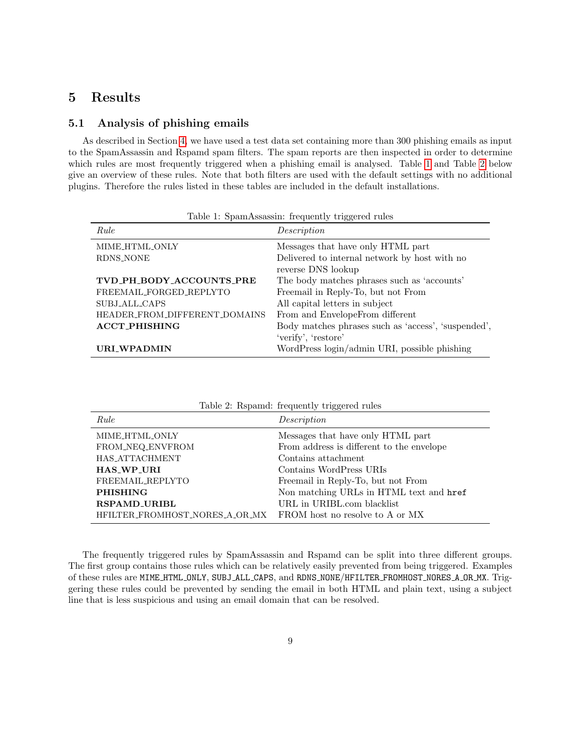## 5 Results

### <span id="page-8-0"></span>5.1 Analysis of phishing emails

As described in Section [4,](#page-6-0) we have used a test data set containing more than 300 phishing emails as input to the SpamAssassin and Rspamd spam filters. The spam reports are then inspected in order to determine which rules are most frequently triggered when a phishing email is analysed. Table [1](#page-8-1) and Table [2](#page-8-2) below give an overview of these rules. Note that both filters are used with the default settings with no additional plugins. Therefore the rules listed in these tables are included in the default installations.

| Table 1. Spallit toodoolii. Itequelluf urggered rules |  |  |  |
|-------------------------------------------------------|--|--|--|
| Description                                           |  |  |  |
| Messages that have only HTML part                     |  |  |  |
| Delivered to internal network by host with no         |  |  |  |
| reverse DNS lookup                                    |  |  |  |
| The body matches phrases such as 'accounts'           |  |  |  |
| Freemail in Reply-To, but not From                    |  |  |  |
| All capital letters in subject                        |  |  |  |
| From and EnvelopeFrom different                       |  |  |  |
| Body matches phrases such as 'access', 'suspended',   |  |  |  |
| 'verify', 'restore'                                   |  |  |  |
| WordPress login/admin URI, possible phishing          |  |  |  |
|                                                       |  |  |  |

<span id="page-8-1"></span>Table 1: SpamAssassin: frequently triggered rules

| rable 2. Repaind. Hequently triggered rules |                                           |  |  |
|---------------------------------------------|-------------------------------------------|--|--|
| Rule                                        | Description                               |  |  |
| MIME_HTML_ONLY                              | Messages that have only HTML part         |  |  |
| FROM_NEQ_ENVFROM                            | From address is different to the envelope |  |  |
| HAS_ATTACHMENT                              | Contains attachment                       |  |  |
| <b>HAS_WP_URI</b>                           | Contains WordPress URIs                   |  |  |
| FREEMAIL REPLYTO                            | Freemail in Reply-To, but not From        |  |  |
| <b>PHISHING</b>                             | Non matching URLs in HTML text and href   |  |  |
| <b>RSPAMD_URIBL</b>                         | URL in URIBL.com blacklist                |  |  |
| HFILTER_FROMHOST_NORES_A_OR_MX              | FROM host no resolve to A or MX           |  |  |

<span id="page-8-2"></span>Table 2: Rspamd: frequently triggered rules

The frequently triggered rules by SpamAssassin and Rspamd can be split into three different groups. The first group contains those rules which can be relatively easily prevented from being triggered. Examples of these rules are MIME HTML ONLY, SUBJ ALL CAPS, and RDNS NONE/HFILTER FROMHOST NORES A OR MX. Triggering these rules could be prevented by sending the email in both HTML and plain text, using a subject line that is less suspicious and using an email domain that can be resolved.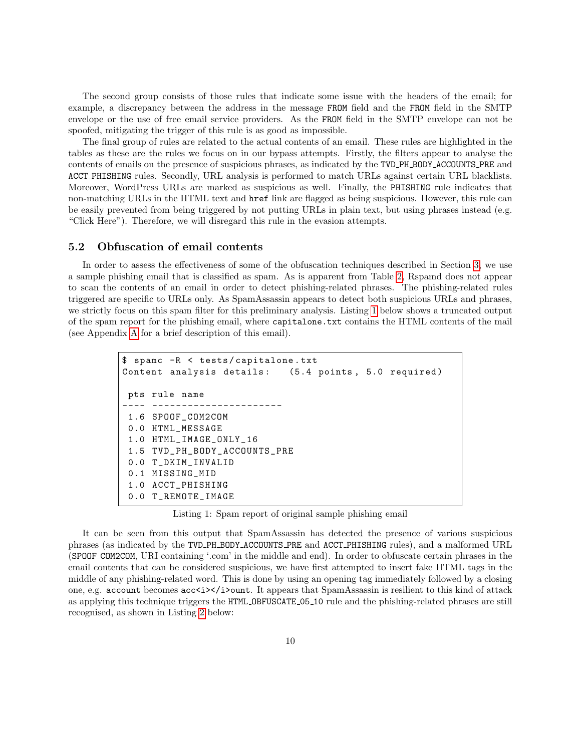The second group consists of those rules that indicate some issue with the headers of the email; for example, a discrepancy between the address in the message FROM field and the FROM field in the SMTP envelope or the use of free email service providers. As the FROM field in the SMTP envelope can not be spoofed, mitigating the trigger of this rule is as good as impossible.

The final group of rules are related to the actual contents of an email. These rules are highlighted in the tables as these are the rules we focus on in our bypass attempts. Firstly, the filters appear to analyse the contents of emails on the presence of suspicious phrases, as indicated by the TVD PH BODY ACCOUNTS PRE and ACCT PHISHING rules. Secondly, URL analysis is performed to match URLs against certain URL blacklists. Moreover, WordPress URLs are marked as suspicious as well. Finally, the PHISHING rule indicates that non-matching URLs in the HTML text and href link are flagged as being suspicious. However, this rule can be easily prevented from being triggered by not putting URLs in plain text, but using phrases instead (e.g. "Click Here"). Therefore, we will disregard this rule in the evasion attempts.

### <span id="page-9-0"></span>5.2 Obfuscation of email contents

In order to assess the effectiveness of some of the obfuscation techniques described in Section [3,](#page-5-1) we use a sample phishing email that is classified as spam. As is apparent from Table [2,](#page-8-2) Rspamd does not appear to scan the contents of an email in order to detect phishing-related phrases. The phishing-related rules triggered are specific to URLs only. As SpamAssassin appears to detect both suspicious URLs and phrases, we strictly focus on this spam filter for this preliminary analysis. Listing [1](#page-9-1) below shows a truncated output of the spam report for the phishing email, where capitalone.txt contains the HTML contents of the mail (see Appendix [A](#page-20-0) for a brief description of this email).

```
$ spamc -R < tests / capitalone . txt
Content analysis details: (5.4 points, 5.0 required)
 pts rule name
---- ----------------------
 1.6 SPOOF_COM2COM
 0.0 HTML_MESSAGE
 1.0 HTML_IMAGE_ONLY_16
 1.5 TVD_PH_BODY_ACCOUNTS_PRE
 0.0 T_DKIM_INVALID
 0.1 MISSING_MID
 1.0 ACCT_PHISHING
 0.0 T_REMOTE_IMAGE
```
Listing 1: Spam report of original sample phishing email

It can be seen from this output that SpamAssassin has detected the presence of various suspicious phrases (as indicated by the TVD PH BODY ACCOUNTS PRE and ACCT PHISHING rules), and a malformed URL (SPOOF COM2COM, URI containing '.com' in the middle and end). In order to obfuscate certain phrases in the email contents that can be considered suspicious, we have first attempted to insert fake HTML tags in the middle of any phishing-related word. This is done by using an opening tag immediately followed by a closing one, e.g. account becomes acc $\langle i \rangle \langle i \rangle$  ount. It appears that SpamAssassin is resilient to this kind of attack as applying this technique triggers the HTML OBFUSCATE 05 10 rule and the phishing-related phrases are still recognised, as shown in Listing [2](#page-10-0) below: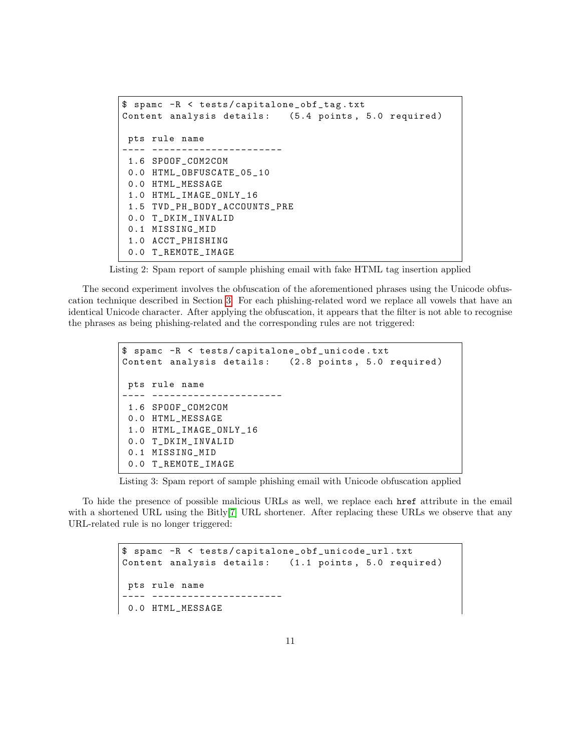```
$ spamc -R < tests / capitalone_obf_tag . txt
Content analysis details: (5.4 points, 5.0 required)
pts rule name
---- ----------------------
1.6 SPOOF_COM2COM
0.0 HTML_OBFUSCATE_05_10
0.0 HTML_MESSAGE
1.0 HTML_IMAGE_ONLY_16
1.5 TVD_PH_BODY_ACCOUNTS_PRE
0.0 T_DKIM_INVALID
0.1 MISSING_MID
1.0 ACCT_PHISHING
0.0 T_REMOTE_IMAGE
```
Listing 2: Spam report of sample phishing email with fake HTML tag insertion applied

The second experiment involves the obfuscation of the aforementioned phrases using the Unicode obfuscation technique described in Section [3.](#page-5-1) For each phishing-related word we replace all vowels that have an identical Unicode character. After applying the obfuscation, it appears that the filter is not able to recognise the phrases as being phishing-related and the corresponding rules are not triggered:

```
$ spamc -R < tests / capitalone_obf_unicode . txt
Content analysis details: (2.8 points, 5.0 required)
pts rule name
---- ----------------------
1.6 SPOOF_COM2COM
0.0 HTML_MESSAGE
1.0 HTML_IMAGE_ONLY_16
0.0 T_DKIM_INVALID
0.1 MISSING_MID
0.0 T_REMOTE_IMAGE
```
Listing 3: Spam report of sample phishing email with Unicode obfuscation applied

To hide the presence of possible malicious URLs as well, we replace each href attribute in the email with a shortened URL using the Bitly<sup>[\[7\]](#page-18-13)</sup> URL shortener. After replacing these URLs we observe that any URL-related rule is no longer triggered:

```
$ spamc -R < tests / capitalone_obf_unicode_url . txt
Content analysis details: (1.1 points, 5.0 required)
pts rule name
    ---- ----------------------
0.0 HTML_MESSAGE
```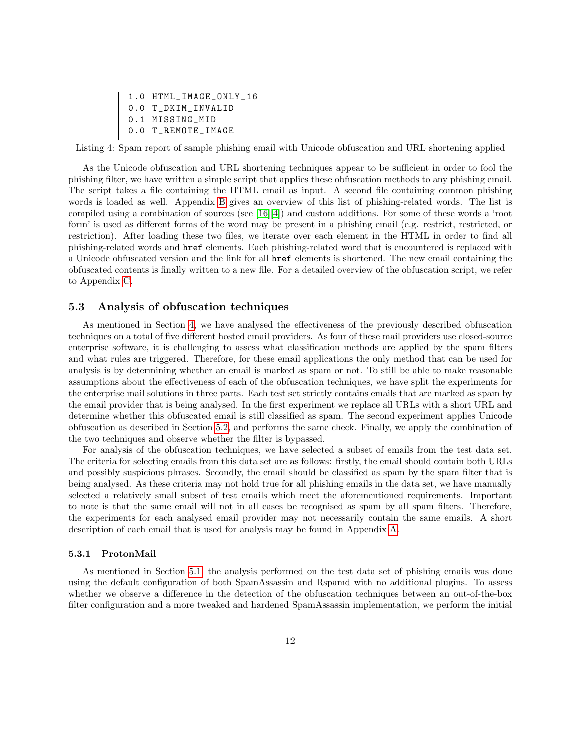```
1.0 HTML_IMAGE_ONLY_16
0.0 T_DKIM_INVALID
0.1 MISSING_MID
0.0 T_REMOTE_IMAGE
```
Listing 4: Spam report of sample phishing email with Unicode obfuscation and URL shortening applied

As the Unicode obfuscation and URL shortening techniques appear to be sufficient in order to fool the phishing filter, we have written a simple script that applies these obfuscation methods to any phishing email. The script takes a file containing the HTML email as input. A second file containing common phishing words is loaded as well. Appendix [B](#page-21-0) gives an overview of this list of phishing-related words. The list is compiled using a combination of sources (see [\[16\]](#page-19-13)[\[4\]](#page-18-5)) and custom additions. For some of these words a 'root form' is used as different forms of the word may be present in a phishing email (e.g. restrict, restricted, or restriction). After loading these two files, we iterate over each element in the HTML in order to find all phishing-related words and href elements. Each phishing-related word that is encountered is replaced with a Unicode obfuscated version and the link for all href elements is shortened. The new email containing the obfuscated contents is finally written to a new file. For a detailed overview of the obfuscation script, we refer to Appendix [C.](#page-23-0)

### <span id="page-11-0"></span>5.3 Analysis of obfuscation techniques

As mentioned in Section [4,](#page-6-0) we have analysed the effectiveness of the previously described obfuscation techniques on a total of five different hosted email providers. As four of these mail providers use closed-source enterprise software, it is challenging to assess what classification methods are applied by the spam filters and what rules are triggered. Therefore, for these email applications the only method that can be used for analysis is by determining whether an email is marked as spam or not. To still be able to make reasonable assumptions about the effectiveness of each of the obfuscation techniques, we have split the experiments for the enterprise mail solutions in three parts. Each test set strictly contains emails that are marked as spam by the email provider that is being analysed. In the first experiment we replace all URLs with a short URL and determine whether this obfuscated email is still classified as spam. The second experiment applies Unicode obfuscation as described in Section [5.2,](#page-9-0) and performs the same check. Finally, we apply the combination of the two techniques and observe whether the filter is bypassed.

For analysis of the obfuscation techniques, we have selected a subset of emails from the test data set. The criteria for selecting emails from this data set are as follows: firstly, the email should contain both URLs and possibly suspicious phrases. Secondly, the email should be classified as spam by the spam filter that is being analysed. As these criteria may not hold true for all phishing emails in the data set, we have manually selected a relatively small subset of test emails which meet the aforementioned requirements. Important to note is that the same email will not in all cases be recognised as spam by all spam filters. Therefore, the experiments for each analysed email provider may not necessarily contain the same emails. A short description of each email that is used for analysis may be found in Appendix [A.](#page-20-0)

### <span id="page-11-1"></span>5.3.1 ProtonMail

As mentioned in Section [5.1,](#page-8-0) the analysis performed on the test data set of phishing emails was done using the default configuration of both SpamAssassin and Rspamd with no additional plugins. To assess whether we observe a difference in the detection of the obfuscation techniques between an out-of-the-box filter configuration and a more tweaked and hardened SpamAssassin implementation, we perform the initial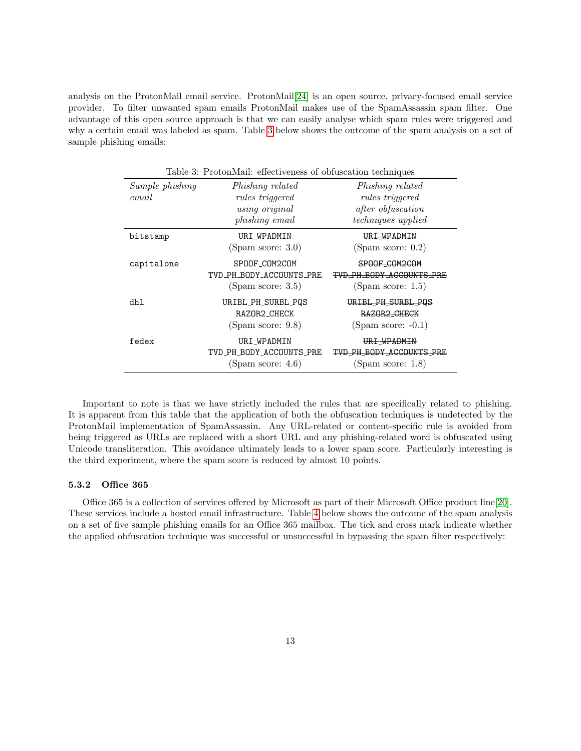analysis on the ProtonMail email service. ProtonMail[\[24\]](#page-19-10) is an open source, privacy-focused email service provider. To filter unwanted spam emails ProtonMail makes use of the SpamAssassin spam filter. One advantage of this open source approach is that we can easily analyse which spam rules were triggered and why a certain email was labeled as spam. Table [3](#page-12-1) below shows the outcome of the spam analysis on a set of sample phishing emails:

<span id="page-12-1"></span>

| Table 3: ProtonMail: effectiveness of obfuscation techniques |                                                                                       |                                                                                              |  |  |
|--------------------------------------------------------------|---------------------------------------------------------------------------------------|----------------------------------------------------------------------------------------------|--|--|
| Sample phishing<br>email                                     | Phishing related<br><i>rules triggered</i><br>using original<br><i>phishing email</i> | Phishing related<br>rules triggered<br><i>after obfuscation</i><br><i>techniques</i> applied |  |  |
| bitstamp                                                     | URI WPADMIN<br>(Spam score: 3.0)                                                      | URI WPADMIN<br>(Spam score: $0.2$ )                                                          |  |  |
| capitalone                                                   | SPOOF_COM2COM<br>TVD PH BODY ACCOUNTS PRE<br>(Spam score: 3.5)                        | SPOOF_COM2COM<br>TVD PH BODY ACCOUNTS PRE<br>(Spam score: $1.5$ )                            |  |  |
| dhl                                                          | URIBL_PH_SURBL_PQS<br>RAZOR2_CHECK<br>(Spam score: 9.8)                               | URIBL_PH_SURBL_PQS<br>RAZOR <sub>2</sub> CHECK<br>$(Spam score: -0.1)$                       |  |  |
| fedex                                                        | URI_WPADMIN<br>TVD_PH_BODY_ACCOUNTS_PRE<br>(Spam score: $4.6$ )                       | URI WPADMIN<br>TVD_PH_BODY_ACCOUNTS_PRE<br>(Spam score: $1.8$ )                              |  |  |

Important to note is that we have strictly included the rules that are specifically related to phishing. It is apparent from this table that the application of both the obfuscation techniques is undetected by the ProtonMail implementation of SpamAssassin. Any URL-related or content-specific rule is avoided from being triggered as URLs are replaced with a short URL and any phishing-related word is obfuscated using Unicode transliteration. This avoidance ultimately leads to a lower spam score. Particularly interesting is the third experiment, where the spam score is reduced by almost 10 points.

### <span id="page-12-0"></span>5.3.2 Office 365

Office 365 is a collection of services offered by Microsoft as part of their Microsoft Office product line[\[20\]](#page-19-11). These services include a hosted email infrastructure. Table [4](#page-13-1) below shows the outcome of the spam analysis on a set of five sample phishing emails for an Office 365 mailbox. The tick and cross mark indicate whether the applied obfuscation technique was successful or unsuccessful in bypassing the spam filter respectively: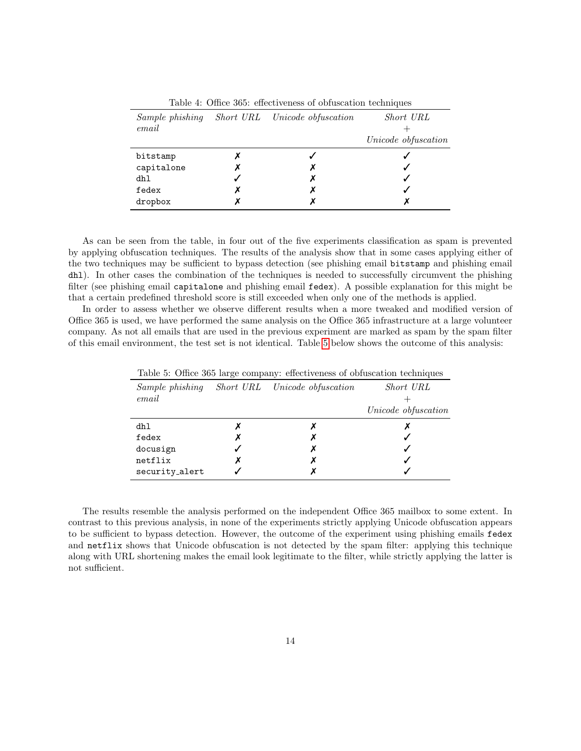| INDIA IN O MICA GOOT VILAGETUILEE VA UNIMERIMINI EURIMINI AND |   |                               |                     |  |
|---------------------------------------------------------------|---|-------------------------------|---------------------|--|
| Sample phishing<br>email                                      |   | Short URL Unicode obfuscation | Short URL           |  |
|                                                               |   |                               | Unicode obfuscation |  |
| bitstamp                                                      |   |                               |                     |  |
| capitalone                                                    |   |                               |                     |  |
| dhl                                                           |   |                               |                     |  |
| fedex                                                         | Х |                               |                     |  |
| dropbox                                                       |   |                               |                     |  |

<span id="page-13-1"></span>Table 4: Office 365: effectiveness of obfuscation techniques

As can be seen from the table, in four out of the five experiments classification as spam is prevented by applying obfuscation techniques. The results of the analysis show that in some cases applying either of the two techniques may be sufficient to bypass detection (see phishing email bitstamp and phishing email dhl). In other cases the combination of the techniques is needed to successfully circumvent the phishing filter (see phishing email capitalone and phishing email fedex). A possible explanation for this might be that a certain predefined threshold score is still exceeded when only one of the methods is applied.

In order to assess whether we observe different results when a more tweaked and modified version of Office 365 is used, we have performed the same analysis on the Office 365 infrastructure at a large volunteer company. As not all emails that are used in the previous experiment are marked as spam by the spam filter of this email environment, the test set is not identical. Table [5](#page-13-2) below shows the outcome of this analysis:

| rapid of Office 600 large company. Cheese encourage of obtainant economics |  |                               |                     |  |  |
|----------------------------------------------------------------------------|--|-------------------------------|---------------------|--|--|
| Sample phishing<br>email                                                   |  | Short URL Unicode obfuscation | Short URL           |  |  |
|                                                                            |  |                               | Unicode obfuscation |  |  |
| dhl                                                                        |  |                               |                     |  |  |
| fedex                                                                      |  | х                             |                     |  |  |
| docusign                                                                   |  | х                             |                     |  |  |
| netflix                                                                    |  |                               |                     |  |  |
| security_alert                                                             |  |                               |                     |  |  |

<span id="page-13-2"></span>Table 5: Office 365 large company: effectiveness of obfuscation techniques

<span id="page-13-0"></span>The results resemble the analysis performed on the independent Office 365 mailbox to some extent. In contrast to this previous analysis, in none of the experiments strictly applying Unicode obfuscation appears to be sufficient to bypass detection. However, the outcome of the experiment using phishing emails fedex and netflix shows that Unicode obfuscation is not detected by the spam filter: applying this technique along with URL shortening makes the email look legitimate to the filter, while strictly applying the latter is not sufficient.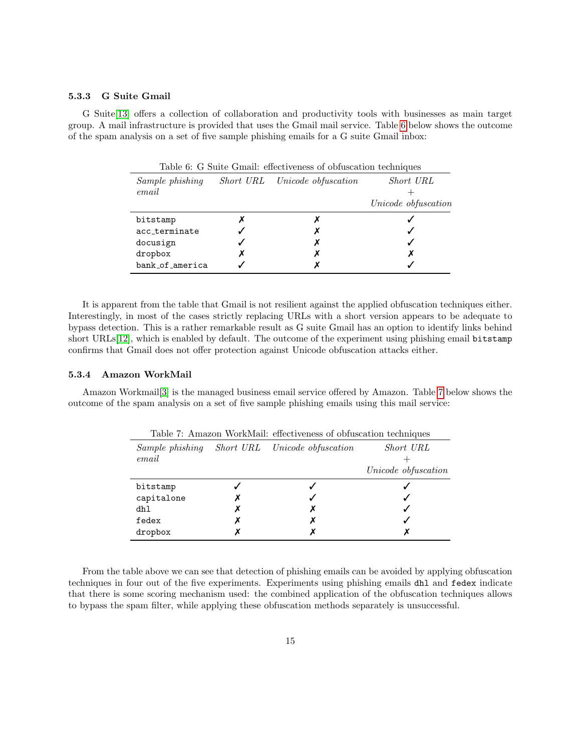### 5.3.3 G Suite Gmail

G Suite[\[13\]](#page-18-11) offers a collection of collaboration and productivity tools with businesses as main target group. A mail infrastructure is provided that uses the Gmail mail service. Table [6](#page-14-2) below shows the outcome of the spam analysis on a set of five sample phishing emails for a G suite Gmail inbox:

| Sample phishing<br>email |   | Short URL Unicode obfuscation | Short URL<br>Unicode obfuscation |
|--------------------------|---|-------------------------------|----------------------------------|
| bitstamp                 |   |                               |                                  |
| acc_terminate            |   |                               |                                  |
| docusign                 |   | х                             |                                  |
| dropbox                  | х | х                             | Х                                |
| bank_of_america          |   |                               |                                  |

<span id="page-14-2"></span>Table 6: G Suite Gmail: effectiveness of obfuscation techniques

It is apparent from the table that Gmail is not resilient against the applied obfuscation techniques either. Interestingly, in most of the cases strictly replacing URLs with a short version appears to be adequate to bypass detection. This is a rather remarkable result as G suite Gmail has an option to identify links behind short URLs[\[12\]](#page-18-14), which is enabled by default. The outcome of the experiment using phishing email bitstamp confirms that Gmail does not offer protection against Unicode obfuscation attacks either.

### <span id="page-14-0"></span>5.3.4 Amazon WorkMail

Amazon Workmail[\[3\]](#page-18-12) is the managed business email service offered by Amazon. Table [7](#page-14-3) below shows the outcome of the spam analysis on a set of five sample phishing emails using this mail service:

| Sample phishing<br>email |   | Short URL Unicode obfuscation | Short URL<br>Unicode obfuscation |
|--------------------------|---|-------------------------------|----------------------------------|
| bitstamp                 |   |                               |                                  |
| capitalone               |   |                               |                                  |
| dhl                      | х | х                             |                                  |
| fedex                    |   |                               |                                  |
| dropbox                  |   |                               |                                  |
|                          |   |                               |                                  |

<span id="page-14-3"></span>Table 7: Amazon WorkMail: effectiveness of obfuscation techniques

<span id="page-14-1"></span>From the table above we can see that detection of phishing emails can be avoided by applying obfuscation techniques in four out of the five experiments. Experiments using phishing emails dhl and fedex indicate that there is some scoring mechanism used: the combined application of the obfuscation techniques allows to bypass the spam filter, while applying these obfuscation methods separately is unsuccessful.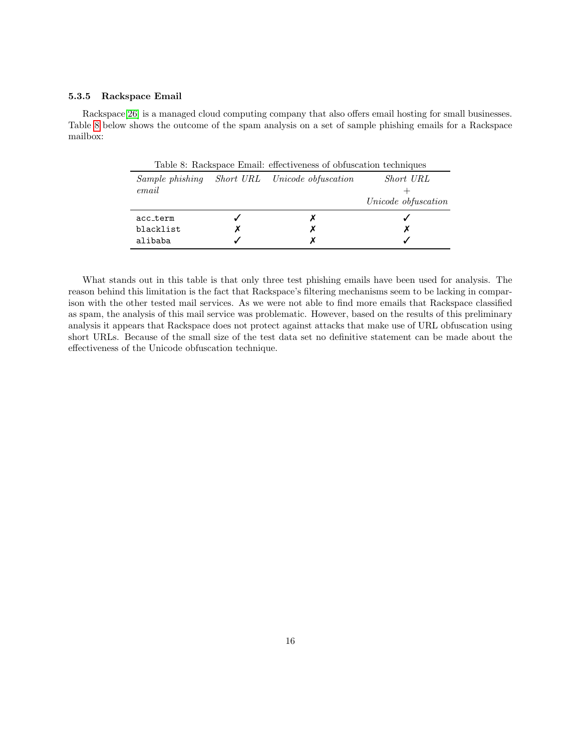### 5.3.5 Rackspace Email

Rackspace[\[26\]](#page-19-14) is a managed cloud computing company that also offers email hosting for small businesses. Table [8](#page-15-1) below shows the outcome of the spam analysis on a set of sample phishing emails for a Rackspace mailbox:

<span id="page-15-1"></span>

|           |   | Table 8: Rackspace Email: effectiveness of obfuscation techniques |                     |
|-----------|---|-------------------------------------------------------------------|---------------------|
|           |   | Sample phishing Short URL Unicode obfuscation                     | Short URL           |
| email     |   |                                                                   |                     |
|           |   |                                                                   | Unicode obfuscation |
| acc term  |   |                                                                   |                     |
| blacklist | Х | х                                                                 | х                   |
| alibaba   |   | х                                                                 |                     |

<span id="page-15-0"></span>What stands out in this table is that only three test phishing emails have been used for analysis. The reason behind this limitation is the fact that Rackspace's filtering mechanisms seem to be lacking in comparison with the other tested mail services. As we were not able to find more emails that Rackspace classified as spam, the analysis of this mail service was problematic. However, based on the results of this preliminary analysis it appears that Rackspace does not protect against attacks that make use of URL obfuscation using short URLs. Because of the small size of the test data set no definitive statement can be made about the effectiveness of the Unicode obfuscation technique.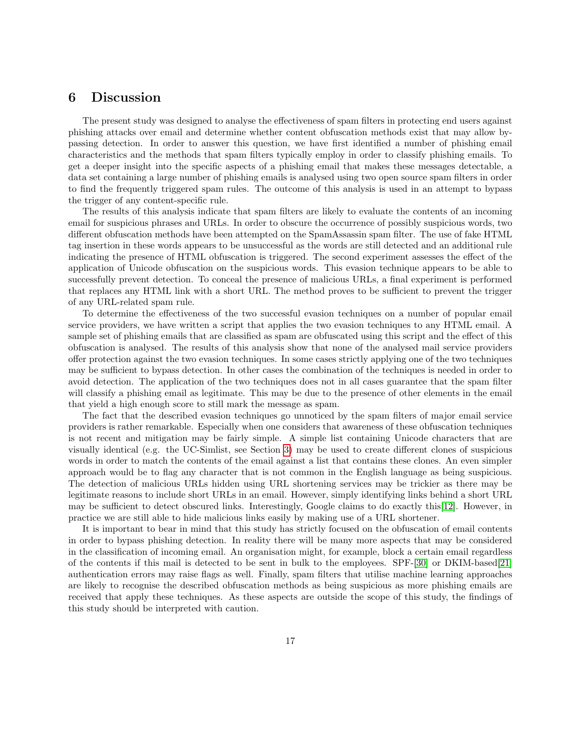### 6 Discussion

The present study was designed to analyse the effectiveness of spam filters in protecting end users against phishing attacks over email and determine whether content obfuscation methods exist that may allow bypassing detection. In order to answer this question, we have first identified a number of phishing email characteristics and the methods that spam filters typically employ in order to classify phishing emails. To get a deeper insight into the specific aspects of a phishing email that makes these messages detectable, a data set containing a large number of phishing emails is analysed using two open source spam filters in order to find the frequently triggered spam rules. The outcome of this analysis is used in an attempt to bypass the trigger of any content-specific rule.

The results of this analysis indicate that spam filters are likely to evaluate the contents of an incoming email for suspicious phrases and URLs. In order to obscure the occurrence of possibly suspicious words, two different obfuscation methods have been attempted on the SpamAssassin spam filter. The use of fake HTML tag insertion in these words appears to be unsuccessful as the words are still detected and an additional rule indicating the presence of HTML obfuscation is triggered. The second experiment assesses the effect of the application of Unicode obfuscation on the suspicious words. This evasion technique appears to be able to successfully prevent detection. To conceal the presence of malicious URLs, a final experiment is performed that replaces any HTML link with a short URL. The method proves to be sufficient to prevent the trigger of any URL-related spam rule.

To determine the effectiveness of the two successful evasion techniques on a number of popular email service providers, we have written a script that applies the two evasion techniques to any HTML email. A sample set of phishing emails that are classified as spam are obfuscated using this script and the effect of this obfuscation is analysed. The results of this analysis show that none of the analysed mail service providers offer protection against the two evasion techniques. In some cases strictly applying one of the two techniques may be sufficient to bypass detection. In other cases the combination of the techniques is needed in order to avoid detection. The application of the two techniques does not in all cases guarantee that the spam filter will classify a phishing email as legitimate. This may be due to the presence of other elements in the email that yield a high enough score to still mark the message as spam.

The fact that the described evasion techniques go unnoticed by the spam filters of major email service providers is rather remarkable. Especially when one considers that awareness of these obfuscation techniques is not recent and mitigation may be fairly simple. A simple list containing Unicode characters that are visually identical (e.g. the UC-Simlist, see Section [3\)](#page-5-1) may be used to create different clones of suspicious words in order to match the contents of the email against a list that contains these clones. An even simpler approach would be to flag any character that is not common in the English language as being suspicious. The detection of malicious URLs hidden using URL shortening services may be trickier as there may be legitimate reasons to include short URLs in an email. However, simply identifying links behind a short URL may be sufficient to detect obscured links. Interestingly, Google claims to do exactly this[\[12\]](#page-18-14). However, in practice we are still able to hide malicious links easily by making use of a URL shortener.

<span id="page-16-0"></span>It is important to bear in mind that this study has strictly focused on the obfuscation of email contents in order to bypass phishing detection. In reality there will be many more aspects that may be considered in the classification of incoming email. An organisation might, for example, block a certain email regardless of the contents if this mail is detected to be sent in bulk to the employees. SPF-[\[30\]](#page-19-15) or DKIM-based[\[21\]](#page-19-16) authentication errors may raise flags as well. Finally, spam filters that utilise machine learning approaches are likely to recognise the described obfuscation methods as being suspicious as more phishing emails are received that apply these techniques. As these aspects are outside the scope of this study, the findings of this study should be interpreted with caution.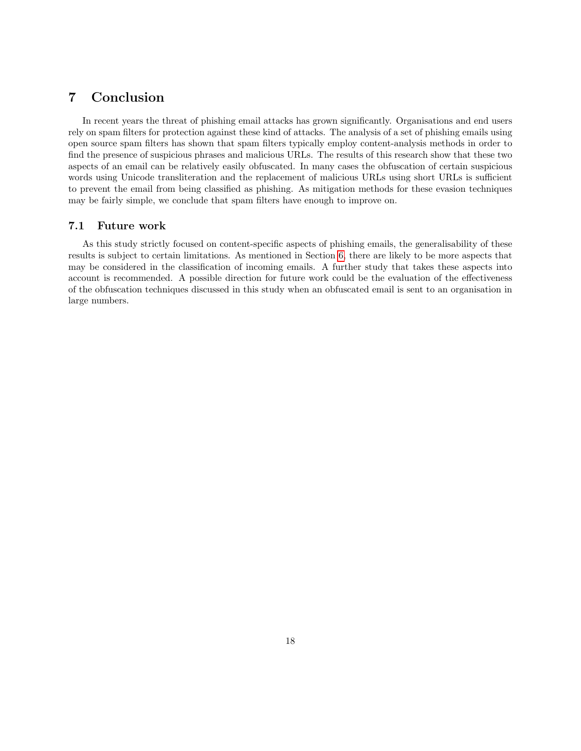### 7 Conclusion

In recent years the threat of phishing email attacks has grown significantly. Organisations and end users rely on spam filters for protection against these kind of attacks. The analysis of a set of phishing emails using open source spam filters has shown that spam filters typically employ content-analysis methods in order to find the presence of suspicious phrases and malicious URLs. The results of this research show that these two aspects of an email can be relatively easily obfuscated. In many cases the obfuscation of certain suspicious words using Unicode transliteration and the replacement of malicious URLs using short URLs is sufficient to prevent the email from being classified as phishing. As mitigation methods for these evasion techniques may be fairly simple, we conclude that spam filters have enough to improve on.

### <span id="page-17-0"></span>7.1 Future work

As this study strictly focused on content-specific aspects of phishing emails, the generalisability of these results is subject to certain limitations. As mentioned in Section [6,](#page-15-0) there are likely to be more aspects that may be considered in the classification of incoming emails. A further study that takes these aspects into account is recommended. A possible direction for future work could be the evaluation of the effectiveness of the obfuscation techniques discussed in this study when an obfuscated email is sent to an organisation in large numbers.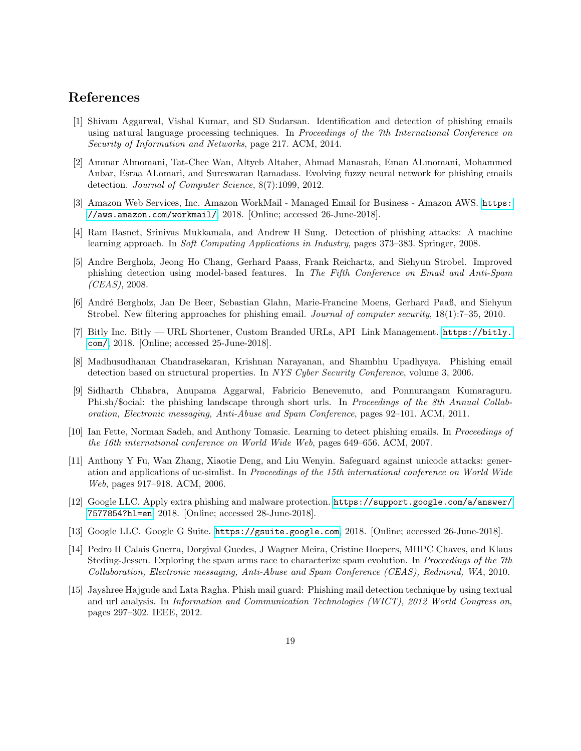### References

- <span id="page-18-0"></span>[1] Shivam Aggarwal, Vishal Kumar, and SD Sudarsan. Identification and detection of phishing emails using natural language processing techniques. In Proceedings of the 7th International Conference on Security of Information and Networks, page 217. ACM, 2014.
- <span id="page-18-4"></span>[2] Ammar Almomani, Tat-Chee Wan, Altyeb Altaher, Ahmad Manasrah, Eman ALmomani, Mohammed Anbar, Esraa ALomari, and Sureswaran Ramadass. Evolving fuzzy neural network for phishing emails detection. Journal of Computer Science, 8(7):1099, 2012.
- <span id="page-18-12"></span>[3] Amazon Web Services, Inc. Amazon WorkMail - Managed Email for Business - Amazon AWS. [https:](https://aws.amazon.com/workmail/) [//aws.amazon.com/workmail/](https://aws.amazon.com/workmail/), 2018. [Online; accessed 26-June-2018].
- <span id="page-18-5"></span>[4] Ram Basnet, Srinivas Mukkamala, and Andrew H Sung. Detection of phishing attacks: A machine learning approach. In Soft Computing Applications in Industry, pages 373–383. Springer, 2008.
- <span id="page-18-1"></span>[5] Andre Bergholz, Jeong Ho Chang, Gerhard Paass, Frank Reichartz, and Siehyun Strobel. Improved phishing detection using model-based features. In The Fifth Conference on Email and Anti-Spam  $(CEAS)$ , 2008.
- <span id="page-18-7"></span>[6] Andr´e Bergholz, Jan De Beer, Sebastian Glahn, Marie-Francine Moens, Gerhard Paaß, and Siehyun Strobel. New filtering approaches for phishing email. Journal of computer security, 18(1):7–35, 2010.
- <span id="page-18-13"></span>[7] Bitly Inc. Bitly — URL Shortener, Custom Branded URLs, API Link Management. [https://bitly.](https://bitly.com/) [com/](https://bitly.com/), 2018. [Online; accessed 25-June-2018].
- <span id="page-18-2"></span>[8] Madhusudhanan Chandrasekaran, Krishnan Narayanan, and Shambhu Upadhyaya. Phishing email detection based on structural properties. In NYS Cyber Security Conference, volume 3, 2006.
- <span id="page-18-10"></span>[9] Sidharth Chhabra, Anupama Aggarwal, Fabricio Benevenuto, and Ponnurangam Kumaraguru. Phi.sh/\$ocial: the phishing landscape through short urls. In Proceedings of the 8th Annual Collaboration, Electronic messaging, Anti-Abuse and Spam Conference, pages 92–101. ACM, 2011.
- <span id="page-18-3"></span>[10] Ian Fette, Norman Sadeh, and Anthony Tomasic. Learning to detect phishing emails. In Proceedings of the 16th international conference on World Wide Web, pages 649–656. ACM, 2007.
- <span id="page-18-9"></span>[11] Anthony Y Fu, Wan Zhang, Xiaotie Deng, and Liu Wenyin. Safeguard against unicode attacks: generation and applications of uc-simlist. In Proceedings of the 15th international conference on World Wide Web, pages 917–918. ACM, 2006.
- <span id="page-18-14"></span>[12] Google LLC. Apply extra phishing and malware protection. [https://support.google.com/a/answer/](https://support.google.com/a/answer/7577854?hl=en) [7577854?hl=en](https://support.google.com/a/answer/7577854?hl=en), 2018. [Online; accessed 28-June-2018].
- <span id="page-18-11"></span>[13] Google LLC. Google G Suite. <https://gsuite.google.com>, 2018. [Online; accessed 26-June-2018].
- <span id="page-18-8"></span>[14] Pedro H Calais Guerra, Dorgival Guedes, J Wagner Meira, Cristine Hoepers, MHPC Chaves, and Klaus Steding-Jessen. Exploring the spam arms race to characterize spam evolution. In Proceedings of the 7th Collaboration, Electronic messaging, Anti-Abuse and Spam Conference (CEAS), Redmond, WA, 2010.
- <span id="page-18-6"></span>[15] Jayshree Hajgude and Lata Ragha. Phish mail guard: Phishing mail detection technique by using textual and url analysis. In Information and Communication Technologies (WICT), 2012 World Congress on, pages 297–302. IEEE, 2012.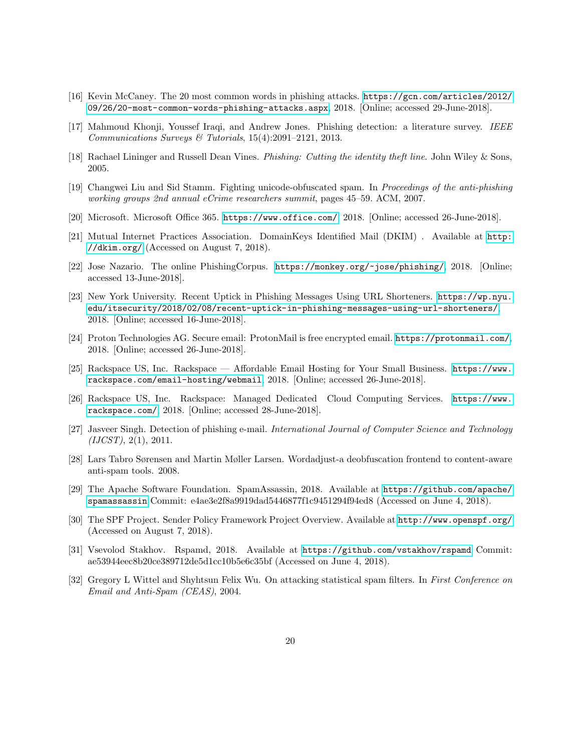- <span id="page-19-13"></span>[16] Kevin McCaney. The 20 most common words in phishing attacks. [https://gcn.com/articles/2012/](https://gcn.com/articles/2012/09/26/20-most-common-words-phishing-attacks.aspx) [09/26/20-most-common-words-phishing-attacks.aspx](https://gcn.com/articles/2012/09/26/20-most-common-words-phishing-attacks.aspx), 2018. [Online; accessed 29-June-2018].
- <span id="page-19-0"></span>[17] Mahmoud Khonji, Youssef Iraqi, and Andrew Jones. Phishing detection: a literature survey. IEEE Communications Surveys & Tutorials, 15(4):2091–2121, 2013.
- <span id="page-19-4"></span>[18] Rachael Lininger and Russell Dean Vines. Phishing: Cutting the identity theft line. John Wiley & Sons, 2005.
- <span id="page-19-3"></span>[19] Changwei Liu and Sid Stamm. Fighting unicode-obfuscated spam. In Proceedings of the anti-phishing working groups 2nd annual eCrime researchers summit, pages 45–59. ACM, 2007.
- <span id="page-19-11"></span>[20] Microsoft. Microsoft Office 365. <https://www.office.com/>, 2018. [Online; accessed 26-June-2018].
- <span id="page-19-16"></span>[21] Mutual Internet Practices Association. DomainKeys Identified Mail (DKIM) . Available at [http:](http://dkim.org/) [//dkim.org/](http://dkim.org/) (Accessed on August 7, 2018).
- <span id="page-19-9"></span>[22] Jose Nazario. The online PhishingCorpus. <https://monkey.org/~jose/phishing/>, 2018. [Online; accessed 13-June-2018].
- <span id="page-19-6"></span>[23] New York University. Recent Uptick in Phishing Messages Using URL Shorteners. [https://wp.nyu.](https://wp.nyu.edu/itsecurity/2018/02/08/recent-uptick-in-phishing-messages-using-url-shorteners/) [edu/itsecurity/2018/02/08/recent-uptick-in-phishing-messages-using-url-shorteners/](https://wp.nyu.edu/itsecurity/2018/02/08/recent-uptick-in-phishing-messages-using-url-shorteners/), 2018. [Online; accessed 16-June-2018].
- <span id="page-19-10"></span>[24] Proton Technologies AG. Secure email: ProtonMail is free encrypted email. <https://protonmail.com/>, 2018. [Online; accessed 26-June-2018].
- <span id="page-19-12"></span>[25] Rackspace US, Inc. Rackspace — Affordable Email Hosting for Your Small Business. [https://www.](https://www.rackspace.com/email-hosting/webmail) [rackspace.com/email-hosting/webmail](https://www.rackspace.com/email-hosting/webmail), 2018. [Online; accessed 26-June-2018].
- <span id="page-19-14"></span>[26] Rackspace US, Inc. Rackspace: Managed Dedicated Cloud Computing Services. [https://www.](https://www.rackspace.com/) [rackspace.com/](https://www.rackspace.com/), 2018. [Online; accessed 28-June-2018].
- <span id="page-19-1"></span>[27] Jasveer Singh. Detection of phishing e-mail. International Journal of Computer Science and Technology  $(IJCST), 2(1), 2011.$
- <span id="page-19-5"></span>[28] Lars Tabro Sørensen and Martin Møller Larsen. Wordadjust-a deobfuscation frontend to content-aware anti-spam tools. 2008.
- <span id="page-19-7"></span>[29] The Apache Software Foundation. SpamAssassin, 2018. Available at [https://github.com/apache/](https://github.com/apache/spamassassin) [spamassassin](https://github.com/apache/spamassassin) Commit: e4ae3e2f8a9919dad5446877f1c9451294f94ed8 (Accessed on June 4, 2018).
- <span id="page-19-15"></span>[30] The SPF Project. Sender Policy Framework Project Overview. Available at <http://www.openspf.org/> (Accessed on August 7, 2018).
- <span id="page-19-8"></span>[31] Vsevolod Stakhov. Rspamd, 2018. Available at <https://github.com/vstakhov/rspamd> Commit: ae53944eec8b20ce389712de5d1cc10b5e6c35bf (Accessed on June 4, 2018).
- <span id="page-19-2"></span>[32] Gregory L Wittel and Shyhtsun Felix Wu. On attacking statistical spam filters. In First Conference on Email and Anti-Spam (CEAS), 2004.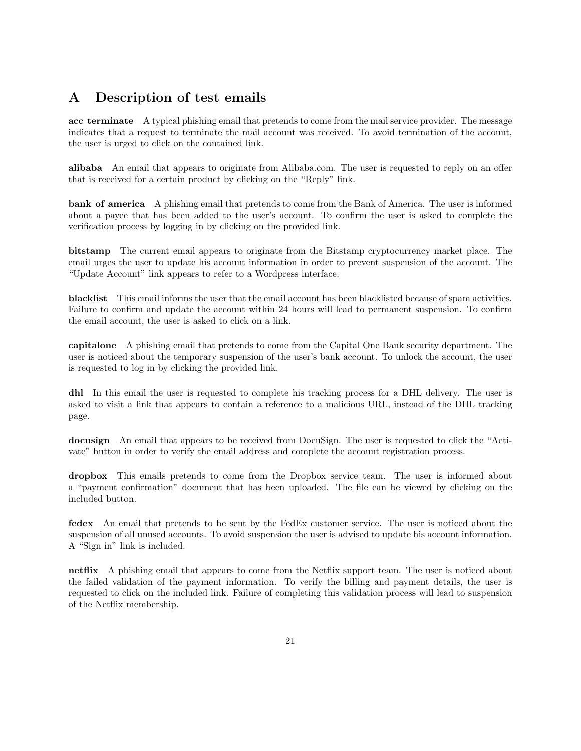### <span id="page-20-0"></span>A Description of test emails

acc terminate A typical phishing email that pretends to come from the mail service provider. The message indicates that a request to terminate the mail account was received. To avoid termination of the account, the user is urged to click on the contained link.

alibaba An email that appears to originate from Alibaba.com. The user is requested to reply on an offer that is received for a certain product by clicking on the "Reply" link.

bank of america A phishing email that pretends to come from the Bank of America. The user is informed about a payee that has been added to the user's account. To confirm the user is asked to complete the verification process by logging in by clicking on the provided link.

bitstamp The current email appears to originate from the Bitstamp cryptocurrency market place. The email urges the user to update his account information in order to prevent suspension of the account. The "Update Account" link appears to refer to a Wordpress interface.

blacklist This email informs the user that the email account has been blacklisted because of spam activities. Failure to confirm and update the account within 24 hours will lead to permanent suspension. To confirm the email account, the user is asked to click on a link.

capitalone A phishing email that pretends to come from the Capital One Bank security department. The user is noticed about the temporary suspension of the user's bank account. To unlock the account, the user is requested to log in by clicking the provided link.

dhl In this email the user is requested to complete his tracking process for a DHL delivery. The user is asked to visit a link that appears to contain a reference to a malicious URL, instead of the DHL tracking page.

docusign An email that appears to be received from DocuSign. The user is requested to click the "Activate" button in order to verify the email address and complete the account registration process.

dropbox This emails pretends to come from the Dropbox service team. The user is informed about a "payment confirmation" document that has been uploaded. The file can be viewed by clicking on the included button.

fedex An email that pretends to be sent by the FedEx customer service. The user is noticed about the suspension of all unused accounts. To avoid suspension the user is advised to update his account information. A "Sign in" link is included.

netflix A phishing email that appears to come from the Netflix support team. The user is noticed about the failed validation of the payment information. To verify the billing and payment details, the user is requested to click on the included link. Failure of completing this validation process will lead to suspension of the Netflix membership.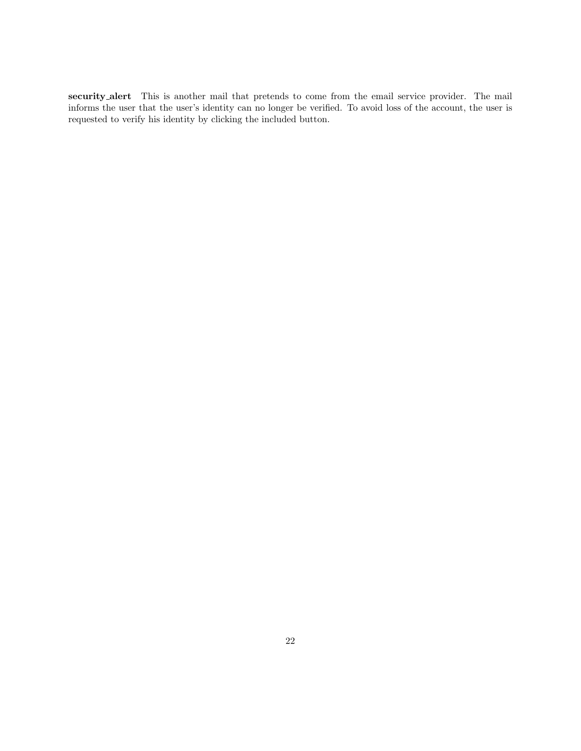<span id="page-21-0"></span>security alert This is another mail that pretends to come from the email service provider. The mail informs the user that the user's identity can no longer be verified. To avoid loss of the account, the user is requested to verify his identity by clicking the included button.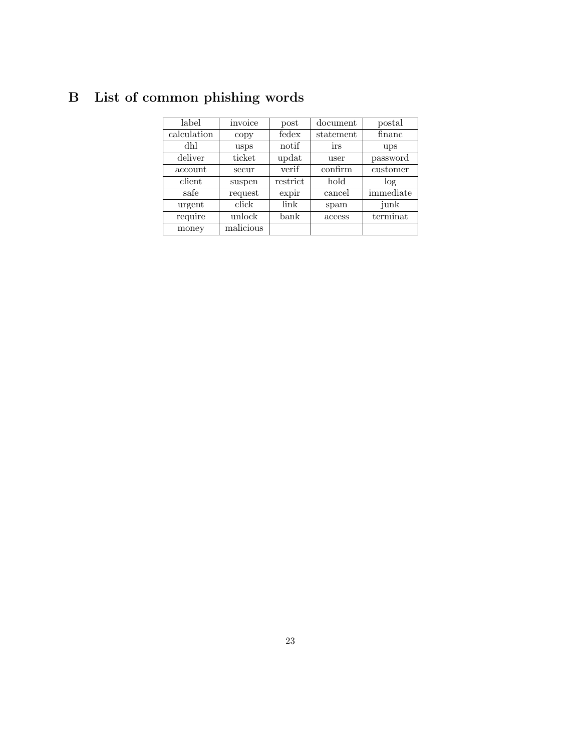# B List of common phishing words

| label       | invoice   | post           | document  | postal    |
|-------------|-----------|----------------|-----------|-----------|
| calculation | copy      | fedex          | statement | financ    |
| dhl         | usps      | notif          | irs       | ups       |
| deliver     | ticket    | updat          | user      | password  |
| account     | secur     | verif          | confirm   | customer  |
| client      | suspen    | restrict       | hold      | log       |
| safe        | request   | expir          | cancel    | immediate |
| urgent      | click     | link           | spam      | junk      |
| require     | unlock    | $_{\rm{bank}}$ | access    | terminat  |
| money       | malicious |                |           |           |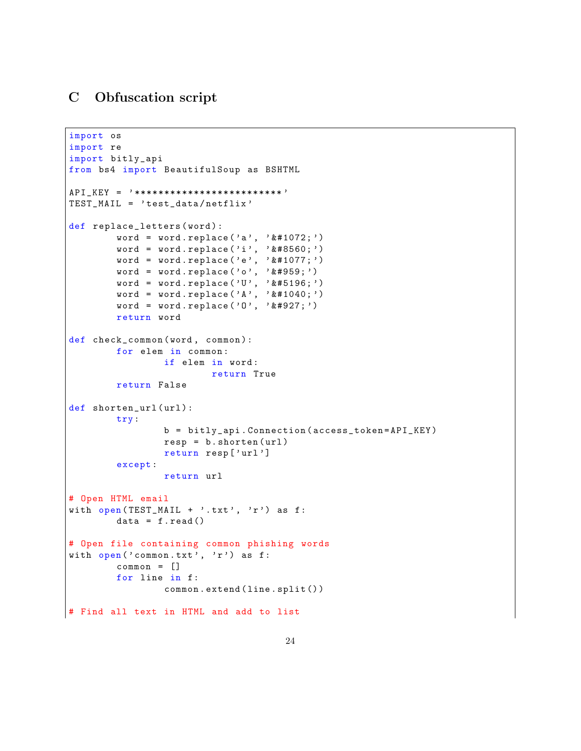### <span id="page-23-0"></span>C Obfuscation script

```
import os
import re
import bitly_api
from bs4 import BeautifulSoup as BSHTML
API_KEY = ' ************************* '
TEST_MAIL = ' test_data / netflix '
def replace_letters (word) :
         word = word.replace('a', 'k#1072;')word = word.replace('i', 'k#8560;')
         word = word.replace('e', 'k#1077;')word = word.replace('o', \ell#959;')
        word = word.replace('U', ' \&#5196;')
         word = word.replace('A', '& #1040;')word = word replace (0, 0, 0, 0, 0, 0, 0, 0)return word
def check_common (word, common) :
        for elem in common :
                 if elem in word :
                          return True
         return False
def shorten_url (url):
         try:
                 b = bitly_api . Connection ( access_token = API_KEY )
                 resp = b.shotten (url)return resp [ ' url ']
         except :
                 return url
# Open HTML email
with open (TEST_MAIL + \prime.txt\prime, \primer\prime) as f:
         data = f.read()# Open file containing common phishing words
with open ('common.txt', 'r') as f:
         common = []
         for line in f:
                 common . extend ( line . split () )
# Find all text in HTML and add to list
```